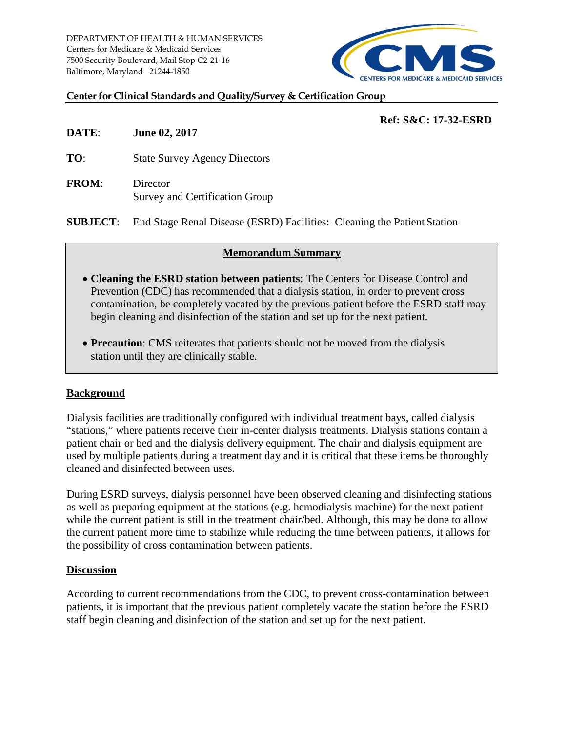DEPARTMENT OF HEALTH & HUMAN SERVICES Centers for Medicare & Medicaid Services 7500 Security Boulevard, Mail Stop C2-21-16 Baltimore, Maryland 21244-1850



#### **Center for Clinical Standards and Quality/Survey & Certification Group**

# **Ref: S&C: 17-32-ESRD**

**DATE**: **June 02, 2017**

**TO:** State Survey Agency Directors

**FROM**: Director Survey and Certification Group

**SUBJECT**: End Stage Renal Disease (ESRD) Facilities: Cleaning the Patient Station

### **Memorandum Summary**

- **Cleaning the ESRD station between patients**: The Centers for Disease Control and Prevention (CDC) has recommended that a dialysis station, in order to prevent cross contamination, be completely vacated by the previous patient before the ESRD staff may begin cleaning and disinfection of the station and set up for the next patient.
- **Precaution**: CMS reiterates that patients should not be moved from the dialysis station until they are clinically stable.

# **Background**

Dialysis facilities are traditionally configured with individual treatment bays, called dialysis "stations," where patients receive their in-center dialysis treatments. Dialysis stations contain a patient chair or bed and the dialysis delivery equipment. The chair and dialysis equipment are used by multiple patients during a treatment day and it is critical that these items be thoroughly cleaned and disinfected between uses.

During ESRD surveys, dialysis personnel have been observed cleaning and disinfecting stations as well as preparing equipment at the stations (e.g. hemodialysis machine) for the next patient while the current patient is still in the treatment chair/bed. Although, this may be done to allow the current patient more time to stabilize while reducing the time between patients, it allows for the possibility of cross contamination between patients.

### **Discussion**

According to current recommendations from the CDC, to prevent cross-contamination between patients, it is important that the previous patient completely vacate the station before the ESRD staff begin cleaning and disinfection of the station and set up for the next patient.